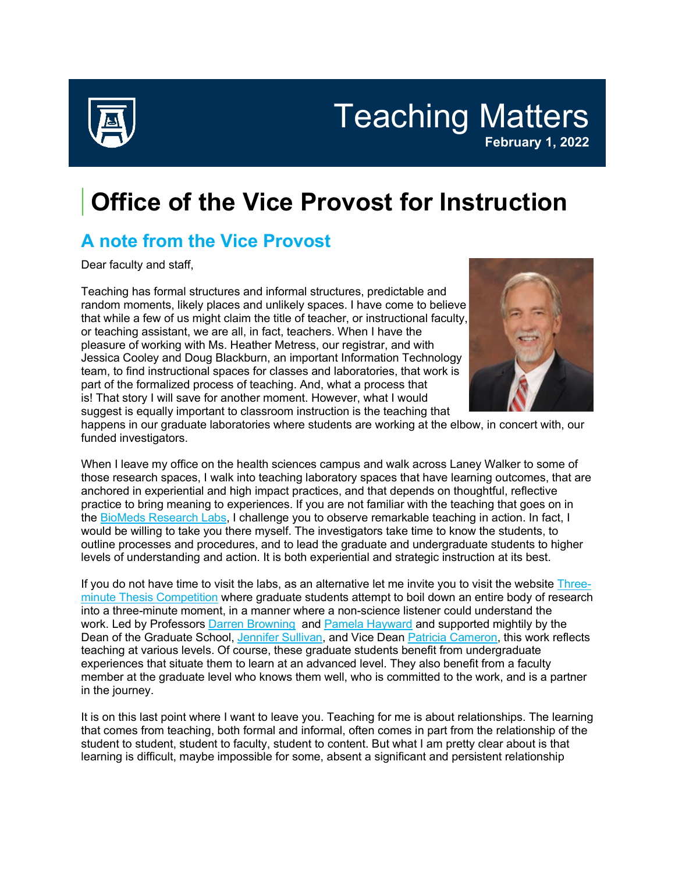

Teaching Matters **February 1, 2022**

## **Office of the Vice Provost for Instruction**

## **A note from the Vice Provost**

Dear faculty and staff,

Teaching has formal structures and informal structures, predictable and random moments, likely places and unlikely spaces. I have come to believe that while a few of us might claim the title of teacher, or instructional faculty, or teaching assistant, we are all, in fact, teachers. When I have the pleasure of working with Ms. Heather Metress, our registrar, and with Jessica Cooley and Doug Blackburn, an important Information Technology team, to find instructional spaces for classes and laboratories, that work is part of the formalized process of teaching. And, what a process that is! That story I will save for another moment. However, what I would suggest is equally important to classroom instruction is the teaching that



happens in our graduate laboratories where students are working at the elbow, in concert with, our funded investigators.

When I leave my office on the health sciences campus and walk across Laney Walker to some of those research spaces, I walk into teaching laboratory spaces that have learning outcomes, that are anchored in experiential and high impact practices, and that depends on thoughtful, reflective practice to bring meaning to experiences. If you are not familiar with the teaching that goes on in the BioMeds [Research Labs,](https://auginstruction.us.newsweaver.com/1thdod2jd7/1lzhezsvwg3s0clokiabax/external?a=5&p=9648677&t=127574) I challenge you to observe remarkable teaching in action. In fact, I would be willing to take you there myself. The investigators take time to know the students, to outline processes and procedures, and to lead the graduate and undergraduate students to higher levels of understanding and action. It is both experiential and strategic instruction at its best.

If you do not have time to visit the labs, as an alternative let me invite you to visit the website [Three](https://auginstruction.us.newsweaver.com/1thdod2jd7/xvnqisj6k2js0clokiabax/external?a=5&p=9648677&t=127574)[minute Thesis Competition](https://auginstruction.us.newsweaver.com/1thdod2jd7/xvnqisj6k2js0clokiabax/external?a=5&p=9648677&t=127574) where graduate students attempt to boil down an entire body of research into a three-minute moment, in a manner where a non-science listener could understand the work. Led by Professors [Darren Browning](https://auginstruction.us.newsweaver.com/1thdod2jd7/ju44reka9n8s0clokiabax/external?a=5&p=9648677&t=127574) and [Pamela Hayward](https://auginstruction.us.newsweaver.com/1thdod2jd7/1gq3kgufcyps0clokiabax/external?a=5&p=9648677&t=127574) and supported mightily by the Dean of the Graduate School, [Jennifer Sullivan,](https://auginstruction.us.newsweaver.com/1thdod2jd7/1qzu818w5mrs0clokiabax/external?a=5&p=9648677&t=127574) and Vice Dean [Patricia Cameron,](https://auginstruction.us.newsweaver.com/1thdod2jd7/kwmuv8i7pcjs0clokiabax/external?a=5&p=9648677&t=127574) this work reflects teaching at various levels. Of course, these graduate students benefit from undergraduate experiences that situate them to learn at an advanced level. They also benefit from a faculty member at the graduate level who knows them well, who is committed to the work, and is a partner in the journey.

It is on this last point where I want to leave you. Teaching for me is about relationships. The learning that comes from teaching, both formal and informal, often comes in part from the relationship of the student to student, student to faculty, student to content. But what I am pretty clear about is that learning is difficult, maybe impossible for some, absent a significant and persistent relationship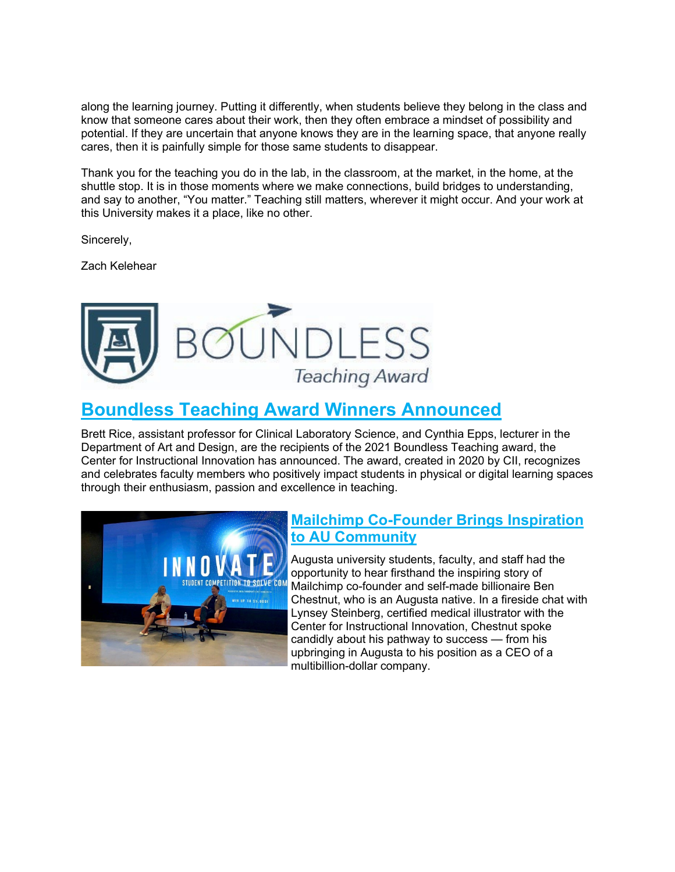along the learning journey. Putting it differently, when students believe they belong in the class and know that someone cares about their work, then they often embrace a mindset of possibility and potential. If they are uncertain that anyone knows they are in the learning space, that anyone really cares, then it is painfully simple for those same students to disappear.

Thank you for the teaching you do in the lab, in the classroom, at the market, in the home, at the shuttle stop. It is in those moments where we make connections, build bridges to understanding, and say to another, "You matter." Teaching still matters, wherever it might occur. And your work at this University makes it a place, like no other.

Sincerely,

Zach Kelehear



### **[Boundless Teaching Award Winners Announced](https://auginstruction.us.newsweaver.com/1thdod2jd7/sqgrivztmacs0clokiabax?lang=en&a=1&p=9648677&t=2553772)**

Brett Rice, assistant professor for Clinical Laboratory Science, and Cynthia Epps, lecturer in the Department of Art and Design, are the recipients of the 2021 Boundless Teaching award, the Center for Instructional Innovation has announced. The award, created in 2020 by CII, recognizes and celebrates faculty members who positively impact students in physical or digital learning spaces through their enthusiasm, passion and excellence in teaching.



#### **[Mailchimp Co-Founder Brings Inspiration](https://auginstruction.us.newsweaver.com/1thdod2jd7/b4j0rpavp9is0clokiabax?lang=en&a=1&p=9648677&t=2188137)  [to AU Community](https://auginstruction.us.newsweaver.com/1thdod2jd7/b4j0rpavp9is0clokiabax?lang=en&a=1&p=9648677&t=2188137)**

Augusta university students, faculty, and staff had the opportunity to hear firsthand the inspiring story of Mailchimp co-founder and self-made billionaire Ben Chestnut, who is an Augusta native. In a fireside chat with Lynsey Steinberg, certified medical illustrator with the Center for Instructional Innovation, Chestnut spoke candidly about his pathway to success — from his upbringing in Augusta to his position as a CEO of a multibillion-dollar company.